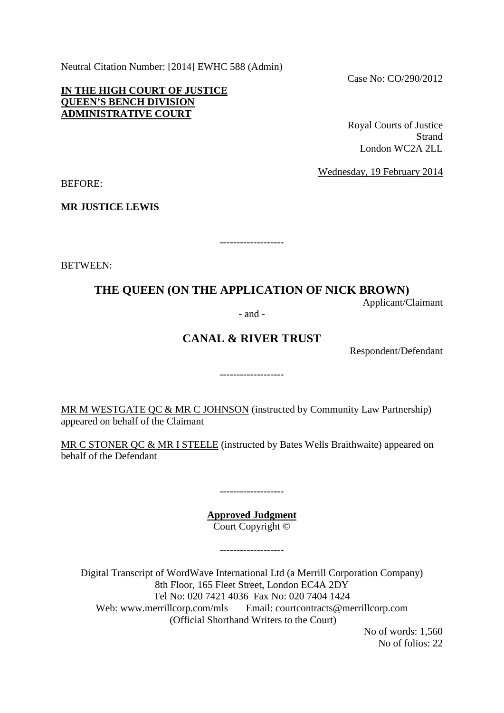Neutral Citation Number: [2014] EWHC 588 (Admin)

**IN THE HIGH COURT OF JUSTICE QUEEN'S BENCH DIVISION ADMINISTRATIVE COURT**

Case No: CO/290/2012

Royal Courts of Justice **Strand** London WC2A 2LL

Wednesday, 19 February 2014

BEFORE:

**MR JUSTICE LEWIS**

BETWEEN:

## **THE QUEEN (ON THE APPLICATION OF NICK BROWN)**

-------------------

Applicant/Claimant

- and -

## **CANAL & RIVER TRUST**

-------------------

Respondent/Defendant

MR M WESTGATE QC & MR C JOHNSON (instructed by Community Law Partnership) appeared on behalf of the Claimant

MR C STONER QC & MR I STEELE (instructed by Bates Wells Braithwaite) appeared on behalf of the Defendant

> **Approved Judgment** Court Copyright ©

> > -------------------

-------------------

Digital Transcript of WordWave International Ltd (a Merrill Corporation Company) 8th Floor, 165 Fleet Street, London EC4A 2DY Tel No: 020 7421 4036 Fax No: 020 7404 1424 Web: www.merrillcorp.com/mls Email: courtcontracts@merrillcorp.com (Official Shorthand Writers to the Court)

No of words: 1,560 No of folios: 22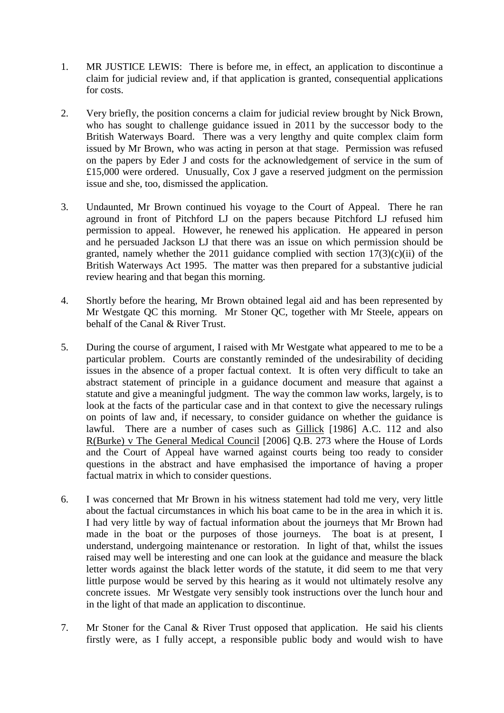- 1. MR JUSTICE LEWIS: There is before me, in effect, an application to discontinue a claim for judicial review and, if that application is granted, consequential applications for costs.
- 2. Very briefly, the position concerns a claim for judicial review brought by Nick Brown, who has sought to challenge guidance issued in 2011 by the successor body to the British Waterways Board. There was a very lengthy and quite complex claim form issued by Mr Brown, who was acting in person at that stage. Permission was refused on the papers by Eder J and costs for the acknowledgement of service in the sum of £15,000 were ordered. Unusually, Cox J gave a reserved judgment on the permission issue and she, too, dismissed the application.
- 3. Undaunted, Mr Brown continued his voyage to the Court of Appeal. There he ran aground in front of Pitchford LJ on the papers because Pitchford LJ refused him permission to appeal. However, he renewed his application. He appeared in person and he persuaded Jackson LJ that there was an issue on which permission should be granted, namely whether the 2011 guidance complied with section  $17(3)(c)(ii)$  of the British Waterways Act 1995. The matter was then prepared for a substantive judicial review hearing and that began this morning.
- 4. Shortly before the hearing, Mr Brown obtained legal aid and has been represented by Mr Westgate QC this morning. Mr Stoner QC, together with Mr Steele, appears on behalf of the Canal & River Trust.
- 5. During the course of argument, I raised with Mr Westgate what appeared to me to be a particular problem. Courts are constantly reminded of the undesirability of deciding issues in the absence of a proper factual context. It is often very difficult to take an abstract statement of principle in a guidance document and measure that against a statute and give a meaningful judgment. The way the common law works, largely, is to look at the facts of the particular case and in that context to give the necessary rulings on points of law and, if necessary, to consider guidance on whether the guidance is lawful. There are a number of cases such as Gillick [1986] A.C. 112 and also R(Burke) v The General Medical Council [2006] Q.B. 273 where the House of Lords and the Court of Appeal have warned against courts being too ready to consider questions in the abstract and have emphasised the importance of having a proper factual matrix in which to consider questions.
- 6. I was concerned that Mr Brown in his witness statement had told me very, very little about the factual circumstances in which his boat came to be in the area in which it is. I had very little by way of factual information about the journeys that Mr Brown had made in the boat or the purposes of those journeys. The boat is at present, I understand, undergoing maintenance or restoration. In light of that, whilst the issues raised may well be interesting and one can look at the guidance and measure the black letter words against the black letter words of the statute, it did seem to me that very little purpose would be served by this hearing as it would not ultimately resolve any concrete issues. Mr Westgate very sensibly took instructions over the lunch hour and in the light of that made an application to discontinue.
- 7. Mr Stoner for the Canal & River Trust opposed that application. He said his clients firstly were, as I fully accept, a responsible public body and would wish to have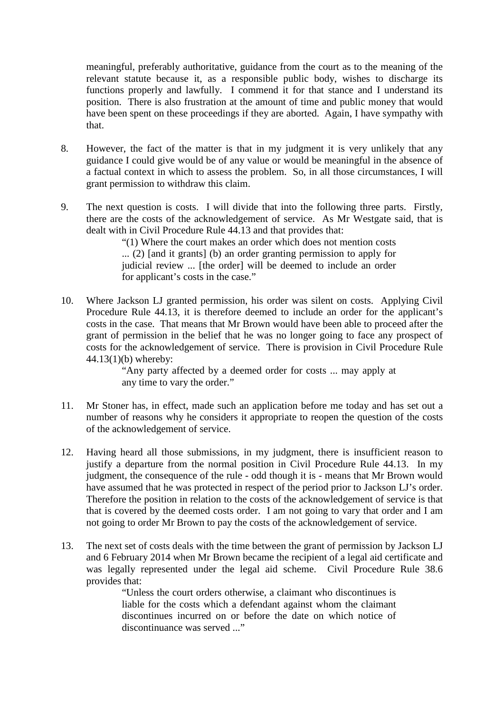meaningful, preferably authoritative, guidance from the court as to the meaning of the relevant statute because it, as a responsible public body, wishes to discharge its functions properly and lawfully. I commend it for that stance and I understand its position. There is also frustration at the amount of time and public money that would have been spent on these proceedings if they are aborted. Again, I have sympathy with that.

- 8. However, the fact of the matter is that in my judgment it is very unlikely that any guidance I could give would be of any value or would be meaningful in the absence of a factual context in which to assess the problem. So, in all those circumstances, I will grant permission to withdraw this claim.
- 9. The next question is costs. I will divide that into the following three parts. Firstly, there are the costs of the acknowledgement of service. As Mr Westgate said, that is dealt with in Civil Procedure Rule 44.13 and that provides that:

"(1) Where the court makes an order which does not mention costs ... (2) [and it grants] (b) an order granting permission to apply for judicial review ... [the order] will be deemed to include an order for applicant's costs in the case."

10. Where Jackson LJ granted permission, his order was silent on costs. Applying Civil Procedure Rule 44.13, it is therefore deemed to include an order for the applicant's costs in the case. That means that Mr Brown would have been able to proceed after the grant of permission in the belief that he was no longer going to face any prospect of costs for the acknowledgement of service. There is provision in Civil Procedure Rule 44.13(1)(b) whereby:

"Any party affected by a deemed order for costs ... may apply at any time to vary the order."

- 11. Mr Stoner has, in effect, made such an application before me today and has set out a number of reasons why he considers it appropriate to reopen the question of the costs of the acknowledgement of service.
- 12. Having heard all those submissions, in my judgment, there is insufficient reason to justify a departure from the normal position in Civil Procedure Rule 44.13. In my judgment, the consequence of the rule - odd though it is - means that Mr Brown would have assumed that he was protected in respect of the period prior to Jackson LJ's order. Therefore the position in relation to the costs of the acknowledgement of service is that that is covered by the deemed costs order. I am not going to vary that order and I am not going to order Mr Brown to pay the costs of the acknowledgement of service.
- 13. The next set of costs deals with the time between the grant of permission by Jackson LJ and 6 February 2014 when Mr Brown became the recipient of a legal aid certificate and was legally represented under the legal aid scheme. Civil Procedure Rule 38.6 provides that:

"Unless the court orders otherwise, a claimant who discontinues is liable for the costs which a defendant against whom the claimant discontinues incurred on or before the date on which notice of discontinuance was served ..."